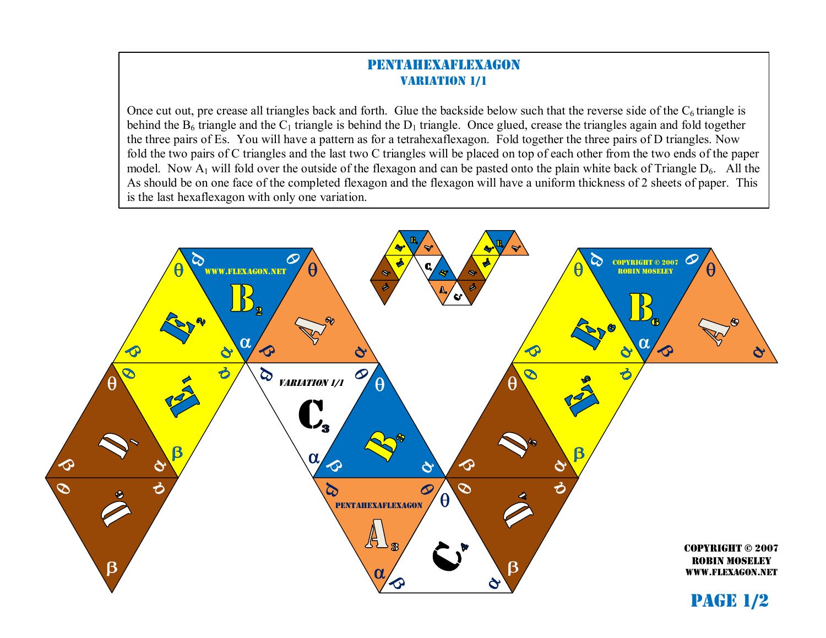## pentahexaflexagon **VARIATION 1/1**

Once cut out, pre crease all triangles back and forth. Glue the backside below such that the reverse side of the  $C_6$  triangle is behind the  $B_6$  triangle and the  $C_1$  triangle is behind the  $D_1$  triangle. Once glued, crease the triangles again and fold together the three pairs of Es. You will have a pattern as for a tetrahexaflexagon. Fold together the three pairs of D triangles. Now fold the two pairs of C triangles and the last two C triangles will be placed on top of each other from the two ends of the paper model. Now  $A_1$  will fold over the outside of the flexagon and can be pasted onto the plain white back of Triangle  $D_6$ . All the As should be on one face of the completed flexagon and the flexagon will have a uniform thickness of 2 sheets of paper. This is the last hexaflexagon with only one variation.